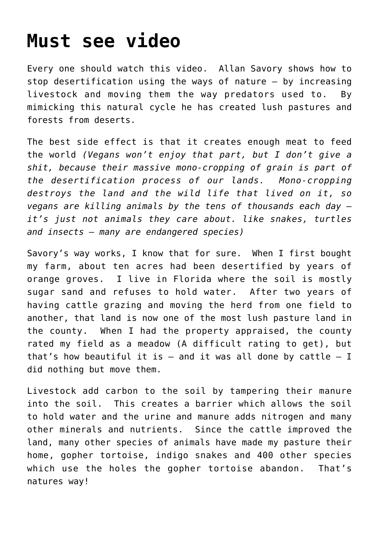### **[Must see video](https://roarofwolverine.com/archives/3960)**

Every one should watch this video. Allan Savory shows how to stop desertification using the ways of nature – by increasing livestock and moving them the way predators used to. By mimicking this natural cycle he has created lush pastures and forests from deserts.

The best side effect is that it creates enough meat to feed the world *(Vegans won't enjoy that part, but I don't give a shit, because their massive mono-cropping of grain is part of the desertification process of our lands. Mono-cropping destroys the land and the wild life that lived on it, so vegans are killing animals by the tens of thousands each day – it's just not animals they care about. like snakes, turtles and insects – many are endangered species)*

Savory's way works, I know that for sure. When I first bought my farm, about ten acres had been desertified by years of orange groves. I live in Florida where the soil is mostly sugar sand and refuses to hold water. After two years of having cattle grazing and moving the herd from one field to another, that land is now one of the most lush pasture land in the county. When I had the property appraised, the county rated my field as a meadow (A difficult rating to get), but that's how beautiful it is  $-$  and it was all done by cattle  $-$  I did nothing but move them.

Livestock add carbon to the soil by tampering their manure into the soil. This creates a barrier which allows the soil to hold water and the urine and manure adds nitrogen and many other minerals and nutrients. Since the cattle improved the land, many other species of animals have made my pasture their home, gopher tortoise, indigo snakes and 400 other species which use the holes the gopher tortoise abandon. That's natures way!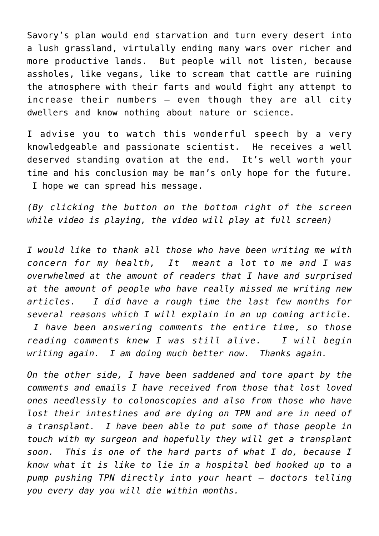Savory's plan would end starvation and turn every desert into a lush grassland, virtulally ending many wars over richer and more productive lands. But people will not listen, because assholes, like vegans, like to scream that cattle are ruining the atmosphere with their farts and would fight any attempt to increase their numbers – even though they are all city dwellers and know nothing about nature or science.

I advise you to watch this wonderful speech by a very knowledgeable and passionate scientist. He receives a well deserved standing ovation at the end. It's well worth your time and his conclusion may be man's only hope for the future. I hope we can spread his message.

*(By clicking the button on the bottom right of the screen while video is playing, the video will play at full screen)*

*I would like to thank all those who have been writing me with concern for my health, It meant a lot to me and I was overwhelmed at the amount of readers that I have and surprised at the amount of people who have really missed me writing new articles. I did have a rough time the last few months for several reasons which I will explain in an up coming article. I have been answering comments the entire time, so those reading comments knew I was still alive. I will begin writing again. I am doing much better now. Thanks again.*

*On the other side, I have been saddened and tore apart by the comments and emails I have received from those that lost loved ones needlessly to colonoscopies and also from those who have lost their intestines and are dying on TPN and are in need of a transplant. I have been able to put some of those people in touch with my surgeon and hopefully they will get a transplant soon. This is one of the hard parts of what I do, because I know what it is like to lie in a hospital bed hooked up to a pump pushing TPN directly into your heart – doctors telling you every day you will die within months.*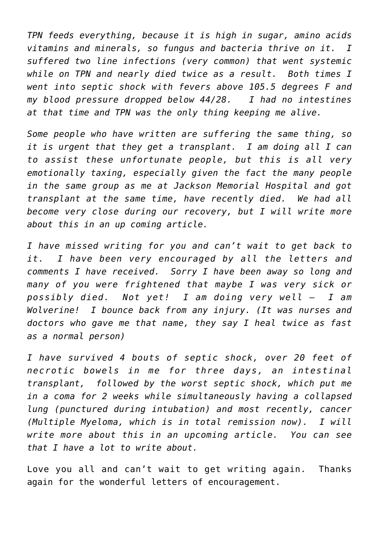*TPN feeds everything, because it is high in sugar, amino acids vitamins and minerals, so fungus and bacteria thrive on it. I suffered two line infections (very common) that went systemic while on TPN and nearly died twice as a result. Both times I went into septic shock with fevers above 105.5 degrees F and my blood pressure dropped below 44/28. I had no intestines at that time and TPN was the only thing keeping me alive.*

*Some people who have written are suffering the same thing, so it is urgent that they get a transplant. I am doing all I can to assist these unfortunate people, but this is all very emotionally taxing, especially given the fact the many people in the same group as me at Jackson Memorial Hospital and got transplant at the same time, have recently died. We had all become very close during our recovery, but I will write more about this in an up coming article.*

*I have missed writing for you and can't wait to get back to it. I have been very encouraged by all the letters and comments I have received. Sorry I have been away so long and many of you were frightened that maybe I was very sick or possibly died. Not yet! I am doing very well – I am Wolverine! I bounce back from any injury. (It was nurses and doctors who gave me that name, they say I heal twice as fast as a normal person)* 

*I have survived 4 bouts of septic shock, over 20 feet of necrotic bowels in me for three days, an intestinal transplant, followed by the worst septic shock, which put me in a coma for 2 weeks while simultaneously having a collapsed lung (punctured during intubation) and most recently, cancer (Multiple Myeloma, which is in total remission now). I will write more about this in an upcoming article. You can see that I have a lot to write about.*

Love you all and can't wait to get writing again. Thanks again for the wonderful letters of encouragement.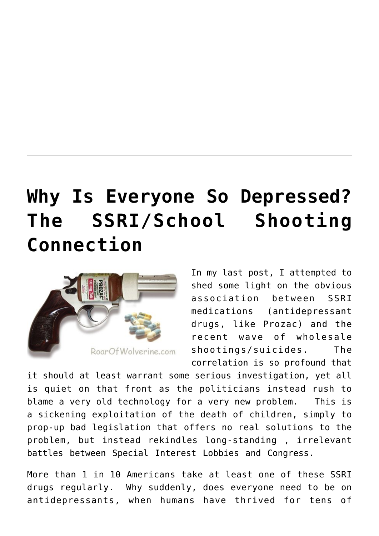## **[Why Is Everyone So Depressed?](https://roarofwolverine.com/archives/3793) [The SSRI/School Shooting](https://roarofwolverine.com/archives/3793) [Connection](https://roarofwolverine.com/archives/3793)**



In my last post, I attempted to shed some light on the obvious association between SSRI medications (antidepressant drugs, like Prozac) and the recent wave of wholesale shootings/suicides. The correlation is so profound that

it should at least warrant some serious investigation, yet all is quiet on that front as the politicians instead rush to blame a very old technology for a very new problem. This is a sickening exploitation of the death of children, simply to prop-up bad legislation that offers no real solutions to the problem, but instead rekindles long-standing , irrelevant battles between Special Interest Lobbies and Congress.

More than 1 in 10 Americans take at least one of these SSRI drugs regularly. Why suddenly, does everyone need to be on antidepressants, when humans have thrived for tens of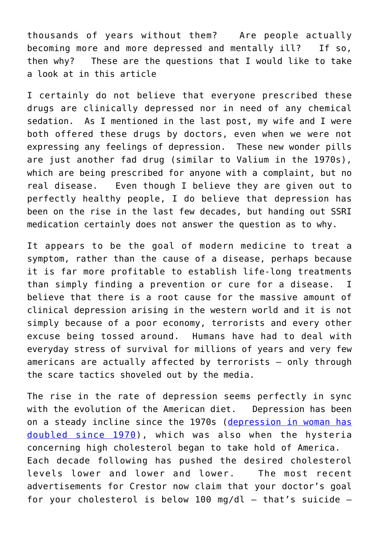thousands of years without them? Are people actually becoming more and more depressed and mentally ill? If so, then why? These are the questions that I would like to take a look at in this article

I certainly do not believe that everyone prescribed these drugs are clinically depressed nor in need of any chemical sedation. As I mentioned in the last post, my wife and I were both offered these drugs by doctors, even when we were not expressing any feelings of depression. These new wonder pills are just another fad drug (similar to Valium in the 1970s), which are being prescribed for anyone with a complaint, but no real disease. Even though I believe they are given out to perfectly healthy people, I do believe that depression has been on the rise in the last few decades, but handing out SSRI medication certainly does not answer the question as to why.

It appears to be the goal of modern medicine to treat a symptom, rather than the cause of a disease, perhaps because it is far more profitable to establish life-long treatments than simply finding a prevention or cure for a disease. I believe that there is a root cause for the massive amount of clinical depression arising in the western world and it is not simply because of a poor economy, terrorists and every other excuse being tossed around. Humans have had to deal with everyday stress of survival for millions of years and very few americans are actually affected by terrorists – only through the scare tactics shoveled out by the media.

The rise in the rate of depression seems perfectly in sync with the evolution of the American diet. Depression has been on a steady incline since the 1970s ([depression in woman has](http://naturalsociety.com/depression-in-women-doubles-since-1970s/) [doubled since 1970](http://naturalsociety.com/depression-in-women-doubles-since-1970s/)), which was also when the hysteria concerning high cholesterol began to take hold of America. Each decade following has pushed the desired cholesterol levels lower and lower and lower. The most recent advertisements for Crestor now claim that your doctor's goal for your cholesterol is below 100 mg/dl  $-$  that's suicide  $-$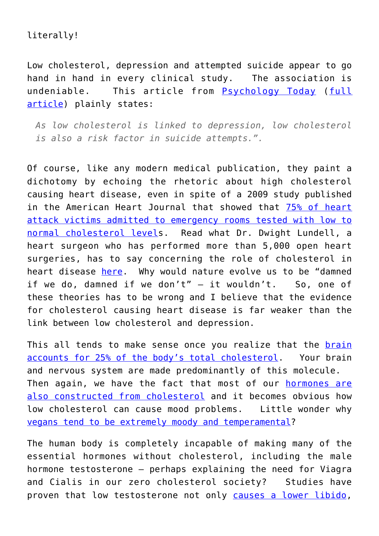### literally!

Low cholesterol, depression and attempted suicide appear to go hand in hand in every clinical study. The association is undeniable. This article from [Psychology Today](http://www.psychologytoday.com/blog/the-breakthrough-depression-solution/201106/low-cholesterol-and-its-psychological-effects) ([full](http://www.psychologytoday.com/blog/the-breakthrough-depression-solution/201106/low-cholesterol-and-its-psychological-effects) [article](http://www.psychologytoday.com/blog/the-breakthrough-depression-solution/201106/low-cholesterol-and-its-psychological-effects)) plainly states:

*As low cholesterol is linked to depression, low cholesterol is also a risk factor in suicide attempts.".*

Of course, like any modern medical publication, they paint a dichotomy by echoing the rhetoric about high cholesterol causing heart disease, even in spite of a 2009 study published in the American Heart Journal that showed that [75% of heart](http://newsroom.ucla.edu/portal/ucla/majority-of-hospitalized-heart-75668.aspx) [attack victims admitted to emergency rooms tested with low to](http://newsroom.ucla.edu/portal/ucla/majority-of-hospitalized-heart-75668.aspx) [normal cholesterol levels](http://newsroom.ucla.edu/portal/ucla/majority-of-hospitalized-heart-75668.aspx). Read what Dr. Dwight Lundell, a heart surgeon who has performed more than 5,000 open heart surgeries, has to say concerning the role of cholesterol in heart disease [here.](http://www.sott.net/article/242516-Heart-Surgeon-Speaks-Out-On-What-Really-Causes-Heart-Disease) Why would nature evolve us to be "damned if we do, damned if we don't"  $-$  it wouldn't. So, one of these theories has to be wrong and I believe that the evidence for cholesterol causing heart disease is far weaker than the link between low cholesterol and depression.

This all tends to make sense once you realize that the [brain](http://hypothesis.alzforum.org/swan/browser/showEntity.action;jsessionid=1EF745630742D9D269844907861B44D9?objectId=urn%3Alsid%3Aswan.org%3Aresearchstatement%3Abbcf8001-3555-45bb-ba44-97f81f4cd9f2&referrerLinkLabel=consistentDiscourse) [accounts for 25% of the body's total cholesterol](http://hypothesis.alzforum.org/swan/browser/showEntity.action;jsessionid=1EF745630742D9D269844907861B44D9?objectId=urn%3Alsid%3Aswan.org%3Aresearchstatement%3Abbcf8001-3555-45bb-ba44-97f81f4cd9f2&referrerLinkLabel=consistentDiscourse). Your brain and nervous system are made predominantly of this molecule. Then again, we have the fact that most of our [hormones are](http://metabolichealing.com/key-integrated-functions-of-your-body/hormone-and-endocrine/cholesterol-your-body-is-incapable-of-making-hormones-without-it-2/) [also constructed from cholesterol](http://metabolichealing.com/key-integrated-functions-of-your-body/hormone-and-endocrine/cholesterol-your-body-is-incapable-of-making-hormones-without-it-2/) and it becomes obvious how low cholesterol can cause mood problems. Little wonder why [vegans tend to be extremely moody and temperamental?](http://www.youtube.com/watch?v=nkYdx7n4nF8)

The human body is completely incapable of making many of the essential hormones without cholesterol, including the male hormone testosterone – perhaps explaining the need for Viagra and Cialis in our zero cholesterol society? Studies have proven that low testosterone not only [causes a lower libido,](http://www.webmd.com/erectile-dysfunction/news/20100416/statins_may_lower_testosterone_libido)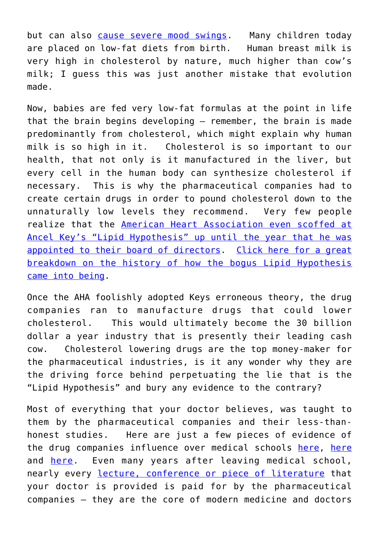but can also [cause severe mood swings.](http://www.bodylogicmd.com/for-men/irritable-men-syndrome) Many children today are placed on low-fat diets from birth. Human breast milk is very high in cholesterol by nature, much higher than cow's milk; I guess this was just another mistake that evolution made.

Now, babies are fed very low-fat formulas at the point in life that the brain begins developing – remember, the brain is made predominantly from cholesterol, which might explain why human milk is so high in it. Cholesterol is so important to our health, that not only is it manufactured in the liver, but every cell in the human body can synthesize cholesterol if necessary. This is why the pharmaceutical companies had to create certain drugs in order to pound cholesterol down to the unnaturally low levels they recommend. Very few people realize that the [American Heart Association even scoffed at](http://www.zoominfo.com/#!search/profile/person?personId=1542029306&targetid=profile) [Ancel Key's "Lipid Hypothesis" up until the year that he was](http://www.zoominfo.com/#!search/profile/person?personId=1542029306&targetid=profile) [appointed to their board of directors.](http://www.zoominfo.com/#!search/profile/person?personId=1542029306&targetid=profile) [Click here for a great](http://www.dietheartpublishing.com/diet-heart-timeline) [breakdown on the history of how the bogus Lipid Hypothesis](http://www.dietheartpublishing.com/diet-heart-timeline) [came into being](http://www.dietheartpublishing.com/diet-heart-timeline).

Once the AHA foolishly adopted Keys erroneous theory, the drug companies ran to manufacture drugs that could lower cholesterol. This would ultimately become the 30 billion dollar a year industry that is presently their leading cash cow. Cholesterol lowering drugs are the top money-maker for the pharmaceutical industries, is it any wonder why they are the driving force behind perpetuating the lie that is the "Lipid Hypothesis" and bury any evidence to the contrary?

Most of everything that your doctor believes, was taught to them by the pharmaceutical companies and their less-thanhonest studies. Here are just a few pieces of evidence of the drug companies influence over medical schools [here,](http://www.time.com/time/health/article/0,8599,1883449,00.html) [here](http://www.propublica.org/article/medical-schools-policies-on-faculty-and-drug-company-speaking-circuit) and [here](http://www.propublica.org/article/medical-schools-policies-on-faculty-and-drug-company-speaking-circuit). Even many years after leaving medical school, nearly every [lecture, conference or piece of literature](http://www.nytimes.com/2012/01/17/health/policy/us-to-tell-drug-makers-to-disclose-payments-to-doctors.html?pagewanted=all&_r=0) that your doctor is provided is paid for by the pharmaceutical companies – they are the core of modern medicine and doctors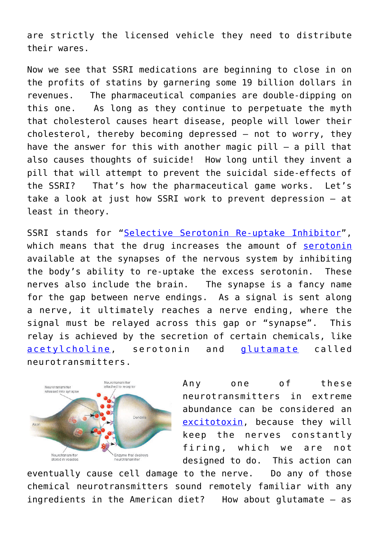are strictly the licensed vehicle they need to distribute their wares.

Now we see that SSRI medications are beginning to close in on the profits of statins by garnering some 19 billion dollars in revenues. The pharmaceutical companies are double-dipping on this one. As long as they continue to perpetuate the myth that cholesterol causes heart disease, people will lower their cholesterol, thereby becoming depressed – not to worry, they have the answer for this with another magic pill – a pill that also causes thoughts of suicide! How long until they invent a pill that will attempt to prevent the suicidal side-effects of the SSRI? That's how the pharmaceutical game works. Let's take a look at just how SSRI work to prevent depression – at least in theory.

SSRI stands for "[Selective Serotonin Re-uptake Inhibitor](http://en.wikipedia.org/wiki/Selective_serotonin_reuptake_inhibitor)", which means that the drug increases the amount of [serotonin](http://en.wikipedia.org/wiki/Serotonin) available at the synapses of the nervous system by inhibiting the body's ability to re-uptake the excess serotonin. These nerves also include the brain. The synapse is a fancy name for the gap between nerve endings. As a signal is sent along a nerve, it ultimately reaches a nerve ending, where the signal must be relayed across this gap or "synapse". This relay is achieved by the secretion of certain chemicals, like [acetylcholine](http://en.wikipedia.org/wiki/Acetylcholine), serotonin and [glutamate](http://en.wikipedia.org/wiki/Glutamate) called neurotransmitters.



Any one of these neurotransmitters in extreme abundance can be considered an [excitotoxin,](http://en.wikipedia.org/wiki/Excitotoxicity) because they will keep the nerves constantly firing, which we are not designed to do. This action can

eventually cause cell damage to the nerve. Do any of those chemical neurotransmitters sound remotely familiar with any ingredients in the American diet? How about glutamate – as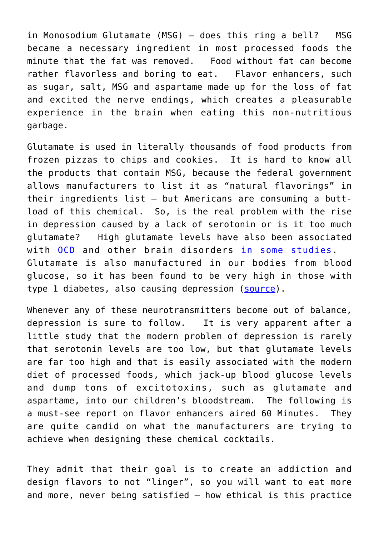in Monosodium Glutamate (MSG) – does this ring a bell? MSG became a necessary ingredient in most processed foods the minute that the fat was removed. Food without fat can become rather flavorless and boring to eat. Flavor enhancers, such as sugar, salt, MSG and aspartame made up for the loss of fat and excited the nerve endings, which creates a pleasurable experience in the brain when eating this non-nutritious garbage.

Glutamate is used in literally thousands of food products from frozen pizzas to chips and cookies. It is hard to know all the products that contain MSG, because the federal government allows manufacturers to list it as "natural flavorings" in their ingredients list – but Americans are consuming a buttload of this chemical. So, is the real problem with the rise in depression caused by a lack of serotonin or is it too much glutamate? High glutamate levels have also been associated with [OCD](http://www.ncbi.nlm.nih.gov/pubmedhealth/PMH0001926/) and other brain disorders [in some studies](http://www.ocfoundation.org/glutamate.aspx). Glutamate is also manufactured in our bodies from blood glucose, so it has been found to be very high in those with type 1 diabetes, also causing depression ([source\)](http://www.joslin.org/joslin_study_links_high_glutamate_levels_in_brain_with_depression.html).

Whenever any of these neurotransmitters become out of balance, depression is sure to follow. It is very apparent after a little study that the modern problem of depression is rarely that serotonin levels are too low, but that glutamate levels are far too high and that is easily associated with the modern diet of processed foods, which jack-up blood glucose levels and dump tons of excitotoxins, such as glutamate and aspartame, into our children's bloodstream. The following is a must-see report on flavor enhancers aired 60 Minutes. They are quite candid on what the manufacturers are trying to achieve when designing these chemical cocktails.

They admit that their goal is to create an addiction and design flavors to not "linger", so you will want to eat more and more, never being satisfied – how ethical is this practice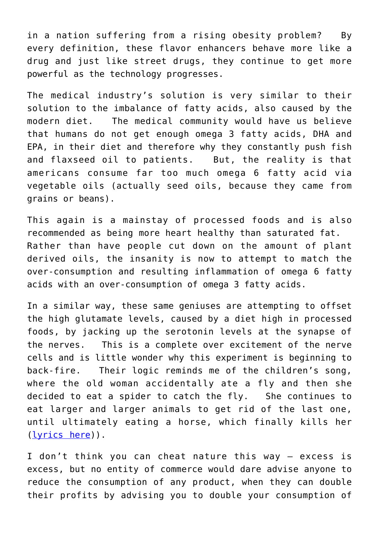in a nation suffering from a rising obesity problem? By every definition, these flavor enhancers behave more like a drug and just like street drugs, they continue to get more powerful as the technology progresses.

The medical industry's solution is very similar to their solution to the imbalance of fatty acids, also caused by the modern diet. The medical community would have us believe that humans do not get enough omega 3 fatty acids, DHA and EPA, in their diet and therefore why they constantly push fish and flaxseed oil to patients. But, the reality is that americans consume far too much omega 6 fatty acid via vegetable oils (actually seed oils, because they came from grains or beans).

This again is a mainstay of processed foods and is also recommended as being more heart healthy than saturated fat. Rather than have people cut down on the amount of plant derived oils, the insanity is now to attempt to match the over-consumption and resulting inflammation of omega 6 fatty acids with an over-consumption of omega 3 fatty acids.

In a similar way, these same geniuses are attempting to offset the high glutamate levels, caused by a diet high in processed foods, by jacking up the serotonin levels at the synapse of the nerves. This is a complete over excitement of the nerve cells and is little wonder why this experiment is beginning to back-fire. Their logic reminds me of the children's song, where the old woman accidentally ate a fly and then she decided to eat a spider to catch the fly. She continues to eat larger and larger animals to get rid of the last one, until ultimately eating a horse, which finally kills her ([lyrics here](http://www.poppyfields.net/poppy/songs/oldwoman.html))).

I don't think you can cheat nature this way – excess is excess, but no entity of commerce would dare advise anyone to reduce the consumption of any product, when they can double their profits by advising you to double your consumption of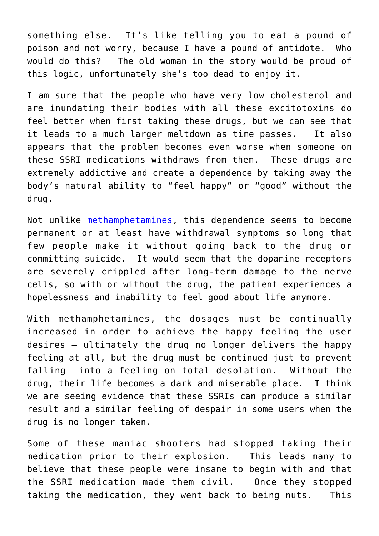something else. It's like telling you to eat a pound of poison and not worry, because I have a pound of antidote. Who would do this? The old woman in the story would be proud of this logic, unfortunately she's too dead to enjoy it.

I am sure that the people who have very low cholesterol and are inundating their bodies with all these excitotoxins do feel better when first taking these drugs, but we can see that it leads to a much larger meltdown as time passes. It also appears that the problem becomes even worse when someone on these SSRI medications withdraws from them. These drugs are extremely addictive and create a dependence by taking away the body's natural ability to "feel happy" or "good" without the drug.

Not unlike [methamphetamines](http://www.drugabuse.gov/publications/drugfacts/methamphetamine), this dependence seems to become permanent or at least have withdrawal symptoms so long that few people make it without going back to the drug or committing suicide. It would seem that the dopamine receptors are severely crippled after long-term damage to the nerve cells, so with or without the drug, the patient experiences a hopelessness and inability to feel good about life anymore.

With methamphetamines, the dosages must be continually increased in order to achieve the happy feeling the user desires – ultimately the drug no longer delivers the happy feeling at all, but the drug must be continued just to prevent falling into a feeling on total desolation. Without the drug, their life becomes a dark and miserable place. I think we are seeing evidence that these SSRIs can produce a similar result and a similar feeling of despair in some users when the drug is no longer taken.

Some of these maniac shooters had stopped taking their medication prior to their explosion. This leads many to believe that these people were insane to begin with and that the SSRI medication made them civil. Once they stopped taking the medication, they went back to being nuts. This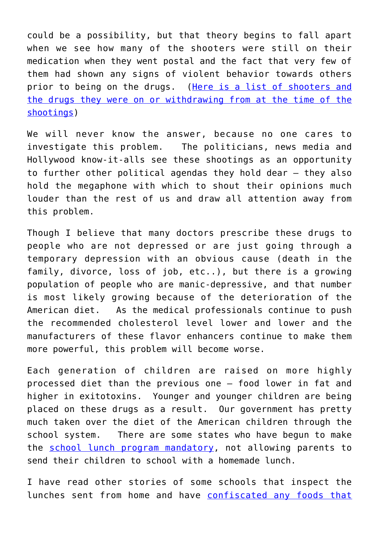could be a possibility, but that theory begins to fall apart when we see how many of the shooters were still on their medication when they went postal and the fact that very few of them had shown any signs of violent behavior towards others prior to being on the drugs. ([Here is a list of shooters and](http://www.ssristories.com/index.php?p=school) [the drugs they were on or withdrawing from at the time of the](http://www.ssristories.com/index.php?p=school) [shootings\)](http://www.ssristories.com/index.php?p=school)

We will never know the answer, because no one cares to investigate this problem. The politicians, news media and Hollywood know-it-alls see these shootings as an opportunity to further other political agendas they hold dear – they also hold the megaphone with which to shout their opinions much louder than the rest of us and draw all attention away from this problem.

Though I believe that many doctors prescribe these drugs to people who are not depressed or are just going through a temporary depression with an obvious cause (death in the family, divorce, loss of job, etc..), but there is a growing population of people who are manic-depressive, and that number is most likely growing because of the deterioration of the American diet. As the medical professionals continue to push the recommended cholesterol level lower and lower and the manufacturers of these flavor enhancers continue to make them more powerful, this problem will become worse.

Each generation of children are raised on more highly processed diet than the previous one – food lower in fat and higher in exitotoxins. Younger and younger children are being placed on these drugs as a result. Our government has pretty much taken over the diet of the American children through the school system. There are some states who have begun to make the [school lunch program mandatory](http://articles.chicagotribune.com/2011-04-11/news/ct-met-school-lunch-restrictions-041120110410_1_lunch-food-provider-public-school), not allowing parents to send their children to school with a homemade lunch.

I have read other stories of some schools that inspect the lunches sent from home and have [confiscated any foods that](http://pediatrics.about.com/b/2012/02/15/why-are-the-food-police-inspecting-school-lunches.htm)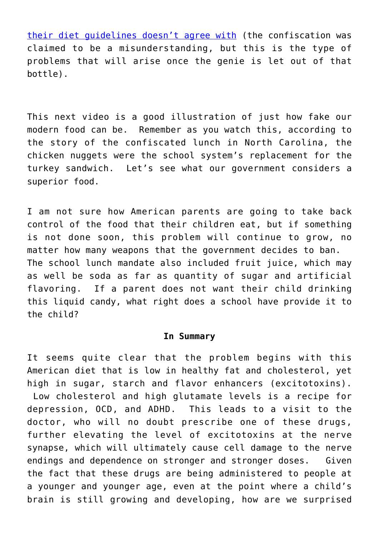[their diet guidelines doesn't agree with](http://pediatrics.about.com/b/2012/02/15/why-are-the-food-police-inspecting-school-lunches.htm) (the confiscation was claimed to be a misunderstanding, but this is the type of problems that will arise once the genie is let out of that bottle).

This next video is a good illustration of just how fake our modern food can be. Remember as you watch this, according to the story of the confiscated lunch in North Carolina, the chicken nuggets were the school system's replacement for the turkey sandwich. Let's see what our government considers a superior food.

I am not sure how American parents are going to take back control of the food that their children eat, but if something is not done soon, this problem will continue to grow, no matter how many weapons that the government decides to ban. The school lunch mandate also included fruit juice, which may as well be soda as far as quantity of sugar and artificial flavoring. If a parent does not want their child drinking this liquid candy, what right does a school have provide it to the child?

#### **In Summary**

It seems quite clear that the problem begins with this American diet that is low in healthy fat and cholesterol, yet high in sugar, starch and flavor enhancers (excitotoxins). Low cholesterol and high glutamate levels is a recipe for depression, OCD, and ADHD. This leads to a visit to the doctor, who will no doubt prescribe one of these drugs, further elevating the level of excitotoxins at the nerve synapse, which will ultimately cause cell damage to the nerve endings and dependence on stronger and stronger doses. Given the fact that these drugs are being administered to people at a younger and younger age, even at the point where a child's brain is still growing and developing, how are we surprised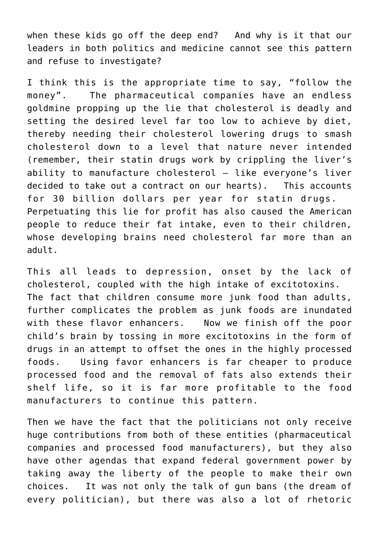when these kids go off the deep end? And why is it that our leaders in both politics and medicine cannot see this pattern and refuse to investigate?

I think this is the appropriate time to say, "follow the money". The pharmaceutical companies have an endless goldmine propping up the lie that cholesterol is deadly and setting the desired level far too low to achieve by diet, thereby needing their cholesterol lowering drugs to smash cholesterol down to a level that nature never intended (remember, their statin drugs work by crippling the liver's ability to manufacture cholesterol – like everyone's liver decided to take out a contract on our hearts). This accounts for 30 billion dollars per year for statin drugs. Perpetuating this lie for profit has also caused the American people to reduce their fat intake, even to their children, whose developing brains need cholesterol far more than an adult.

This all leads to depression, onset by the lack of cholesterol, coupled with the high intake of excitotoxins. The fact that children consume more junk food than adults, further complicates the problem as junk foods are inundated with these flavor enhancers. Now we finish off the poor child's brain by tossing in more excitotoxins in the form of drugs in an attempt to offset the ones in the highly processed foods. Using favor enhancers is far cheaper to produce processed food and the removal of fats also extends their shelf life, so it is far more profitable to the food manufacturers to continue this pattern.

Then we have the fact that the politicians not only receive huge contributions from both of these entities (pharmaceutical companies and processed food manufacturers), but they also have other agendas that expand federal government power by taking away the liberty of the people to make their own choices. It was not only the talk of gun bans (the dream of every politician), but there was also a lot of rhetoric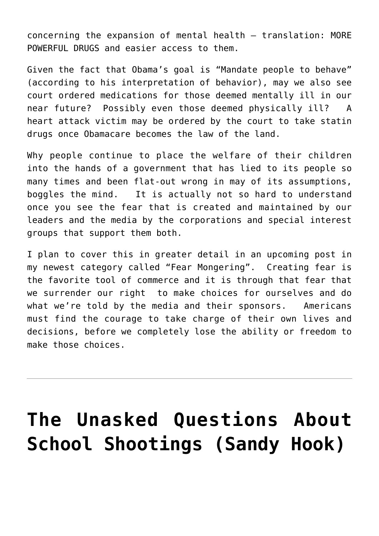concerning the expansion of mental health – translation: MORE POWERFUL DRUGS and easier access to them.

Given the fact that Obama's goal is "Mandate people to behave" (according to his interpretation of behavior), may we also see court ordered medications for those deemed mentally ill in our near future? Possibly even those deemed physically ill? A heart attack victim may be ordered by the court to take statin drugs once Obamacare becomes the law of the land.

Why people continue to place the welfare of their children into the hands of a government that has lied to its people so many times and been flat-out wrong in may of its assumptions, boggles the mind. It is actually not so hard to understand once you see the fear that is created and maintained by our leaders and the media by the corporations and special interest groups that support them both.

I plan to cover this in greater detail in an upcoming post in my newest category called "Fear Mongering". Creating fear is the favorite tool of commerce and it is through that fear that we surrender our right to make choices for ourselves and do what we're told by the media and their sponsors. Americans must find the courage to take charge of their own lives and decisions, before we completely lose the ability or freedom to make those choices.

# **[The Unasked Questions About](https://roarofwolverine.com/archives/3749) [School Shootings \(Sandy Hook\)](https://roarofwolverine.com/archives/3749)**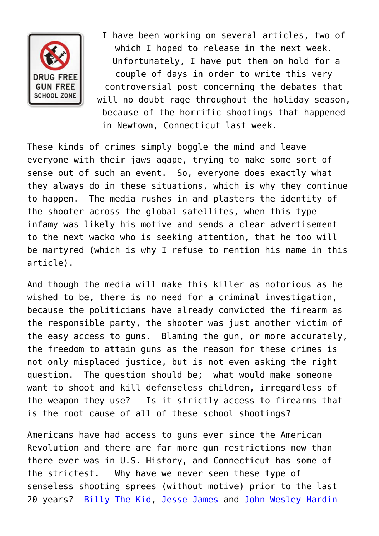

I have been working on several articles, two of which I hoped to release in the next week. Unfortunately, I have put them on hold for a couple of days in order to write this very controversial post concerning the debates that will no doubt rage throughout the holiday season, because of the horrific shootings that happened in Newtown, Connecticut last week.

These kinds of crimes simply boggle the mind and leave everyone with their jaws agape, trying to make some sort of sense out of such an event. So, everyone does exactly what they always do in these situations, which is why they continue to happen. The media rushes in and plasters the identity of the shooter across the global satellites, when this type infamy was likely his motive and sends a clear advertisement to the next wacko who is seeking attention, that he too will be martyred (which is why I refuse to mention his name in this article).

And though the media will make this killer as notorious as he wished to be, there is no need for a criminal investigation, because the politicians have already convicted the firearm as the responsible party, the shooter was just another victim of the easy access to guns. Blaming the gun, or more accurately, the freedom to attain guns as the reason for these crimes is not only misplaced justice, but is not even asking the right question. The question should be; what would make someone want to shoot and kill defenseless children, irregardless of the weapon they use? Is it strictly access to firearms that is the root cause of all of these school shootings?

Americans have had access to guns ever since the American Revolution and there are far more gun restrictions now than there ever was in U.S. History, and Connecticut has some of the strictest. Why have we never seen these type of senseless shooting sprees (without motive) prior to the last 20 years? [Billy The Kid,](http://en.wikipedia.org/wiki/Billy_the_Kid) [Jesse James](http://en.wikipedia.org/wiki/Jesse_James) and [John Wesley Hardin](http://en.wikipedia.org/wiki/John_Wesley_Hardin)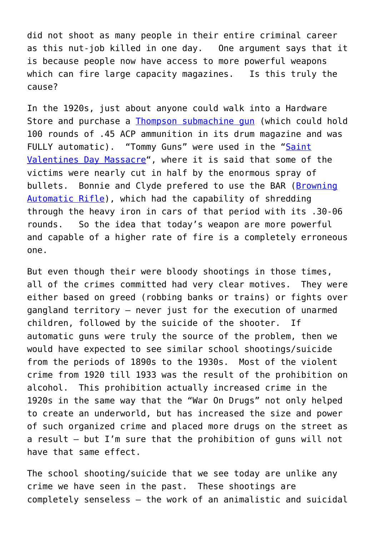did not shoot as many people in their entire criminal career as this nut-job killed in one day. One argument says that it is because people now have access to more powerful weapons which can fire large capacity magazines. Is this truly the cause?

In the 1920s, just about anyone could walk into a Hardware Store and purchase a [Thompson submachine gun](http://en.wikipedia.org/wiki/Thompson_submachine_gun) (which could hold 100 rounds of .45 ACP ammunition in its drum magazine and was FULLY automatic). "Tommy Guns" were used in the "[Saint](http://en.wikipedia.org/wiki/Saint_Valentine) [Valentines Day Massacre](http://en.wikipedia.org/wiki/Saint_Valentine)", where it is said that some of the victims were nearly cut in half by the enormous spray of bullets. Bonnie and Clyde prefered to use the BAR [\(Browning](http://en.wikipedia.org/wiki/M1918_Browning_Automatic_Rifle) [Automatic Rifle](http://en.wikipedia.org/wiki/M1918_Browning_Automatic_Rifle)), which had the capability of shredding through the heavy iron in cars of that period with its .30-06 rounds. So the idea that today's weapon are more powerful and capable of a higher rate of fire is a completely erroneous one.

But even though their were bloody shootings in those times, all of the crimes committed had very clear motives. They were either based on greed (robbing banks or trains) or fights over gangland territory – never just for the execution of unarmed children, followed by the suicide of the shooter. If automatic guns were truly the source of the problem, then we would have expected to see similar school shootings/suicide from the periods of 1890s to the 1930s. Most of the violent crime from 1920 till 1933 was the result of the prohibition on alcohol. This prohibition actually increased crime in the 1920s in the same way that the "War On Drugs" not only helped to create an underworld, but has increased the size and power of such organized crime and placed more drugs on the street as a result – but I'm sure that the prohibition of guns will not have that same effect.

The school shooting/suicide that we see today are unlike any crime we have seen in the past. These shootings are completely senseless – the work of an animalistic and suicidal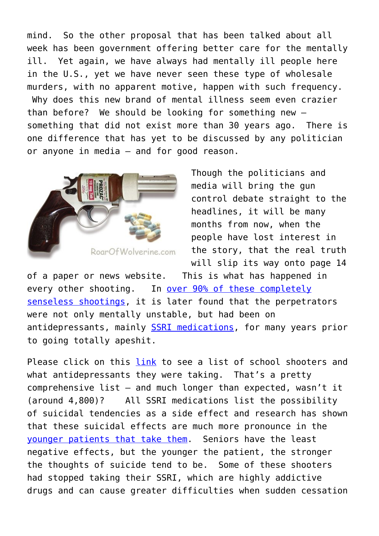mind. So the other proposal that has been talked about all week has been government offering better care for the mentally ill. Yet again, we have always had mentally ill people here in the U.S., yet we have never seen these type of wholesale murders, with no apparent motive, happen with such frequency. Why does this new brand of mental illness seem even crazier than before? We should be looking for something new – something that did not exist more than 30 years ago. There is one difference that has yet to be discussed by any politician or anyone in media – and for good reason.



Though the politicians and media will bring the gun control debate straight to the headlines, it will be many months from now, when the people have lost interest in the story, that the real truth will slip its way onto page 14

of a paper or news website. This is what has happened in every other shooting. In [over 90% of these completely](http://www.wnd.com/2012/12/psych-meds-linked-to-90-of-school-shootings/) [senseless shootings,](http://www.wnd.com/2012/12/psych-meds-linked-to-90-of-school-shootings/) it is later found that the perpetrators were not only mentally unstable, but had been on antidepressants, mainly [SSRI medications,](http://en.wikipedia.org/wiki/Selective_serotonin_reuptake_inhibitor) for many years prior to going totally apeshit.

Please click on this [link](http://www.ssristories.com/index.php) to see a list of school shooters and what antidepressants they were taking. That's a pretty comprehensive list – and much longer than expected, wasn't it (around 4,800)? All SSRI medications list the possibility of suicidal tendencies as a side effect and research has shown that these suicidal effects are much more pronounce in the [younger patients that take them](http://neuroskeptic.blogspot.com/2010/05/ssris-and-suicide.html). Seniors have the least negative effects, but the younger the patient, the stronger the thoughts of suicide tend to be. Some of these shooters had stopped taking their SSRI, which are highly addictive drugs and can cause greater difficulties when sudden cessation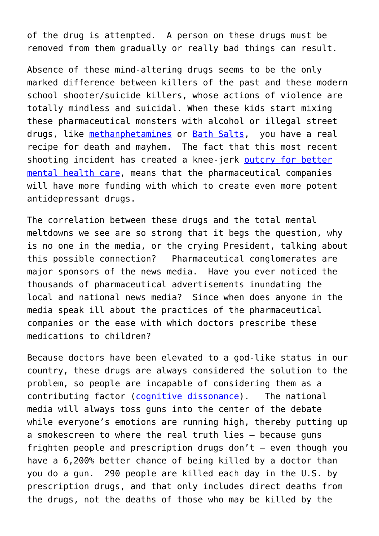of the drug is attempted. A person on these drugs must be removed from them gradually or really bad things can result.

Absence of these mind-altering drugs seems to be the only marked difference between killers of the past and these modern school shooter/suicide killers, whose actions of violence are totally mindless and suicidal. When these kids start mixing these pharmaceutical monsters with alcohol or illegal street drugs, like [methanphetamines](http://www.drugabuse.gov/publications/drugfacts/methamphetamine) or [Bath Salts,](http://www.gq.com/news-politics/big-issues/201207/bath-salts-drugs-amphetamine-face-eater-zombie) you have a real recipe for death and mayhem. The fact that this most recent shooting incident has created a knee-jerk [outcry for better](http://www.cinewsnow.com/news/local/Mental-health-resources-examined-after-school-shooting-184345591.html) [mental health care,](http://www.cinewsnow.com/news/local/Mental-health-resources-examined-after-school-shooting-184345591.html) means that the pharmaceutical companies will have more funding with which to create even more potent antidepressant drugs.

The correlation between these drugs and the total mental meltdowns we see are so strong that it begs the question, why is no one in the media, or the crying President, talking about this possible connection? Pharmaceutical conglomerates are major sponsors of the news media. Have you ever noticed the thousands of pharmaceutical advertisements inundating the local and national news media? Since when does anyone in the media speak ill about the practices of the pharmaceutical companies or the ease with which doctors prescribe these medications to children?

Because doctors have been elevated to a god-like status in our country, these drugs are always considered the solution to the problem, so people are incapable of considering them as a contributing factor [\(cognitive dissonance\)](http://en.wikipedia.org/wiki/Cognitive_dissonance). The national media will always toss guns into the center of the debate while everyone's emotions are running high, thereby putting up a smokescreen to where the real truth lies – because guns frighten people and prescription drugs don't – even though you have a 6,200% better chance of being killed by a doctor than you do a gun. 290 people are killed each day in the U.S. by prescription drugs, and that only includes direct deaths from the drugs, not the deaths of those who may be killed by the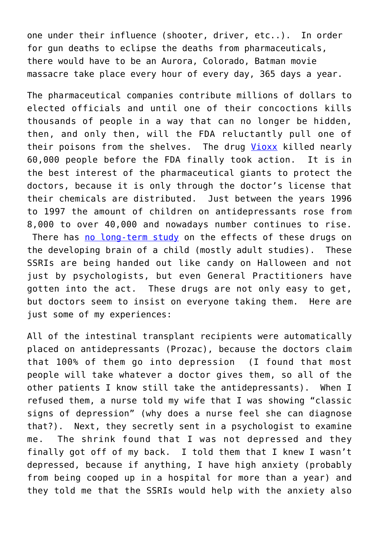one under their influence (shooter, driver, etc..). In order for gun deaths to eclipse the deaths from pharmaceuticals, there would have to be an Aurora, Colorado, Batman movie massacre take place every hour of every day, 365 days a year.

The pharmaceutical companies contribute millions of dollars to elected officials and until one of their concoctions kills thousands of people in a way that can no longer be hidden, then, and only then, will the FDA reluctantly pull one of their poisons from the shelves. The drug [Vioxx](http://www.pharmalot.com/2012/07/merck-hid-evidence-of-vioxx-harm-study/) killed nearly 60,000 people before the FDA finally took action. It is in the best interest of the pharmaceutical giants to protect the doctors, because it is only through the doctor's license that their chemicals are distributed. Just between the years 1996 to 1997 the amount of children on antidepressants rose from 8,000 to over 40,000 and nowadays number continues to rise. There has [no long-term study](http://www.dadi.org/prozac.htm) on the effects of these drugs on the developing brain of a child (mostly adult studies). These SSRIs are being handed out like candy on Halloween and not just by psychologists, but even General Practitioners have gotten into the act. These drugs are not only easy to get, but doctors seem to insist on everyone taking them. Here are just some of my experiences:

All of the intestinal transplant recipients were automatically placed on antidepressants (Prozac), because the doctors claim that 100% of them go into depression (I found that most people will take whatever a doctor gives them, so all of the other patients I know still take the antidepressants). When I refused them, a nurse told my wife that I was showing "classic signs of depression" (why does a nurse feel she can diagnose that?). Next, they secretly sent in a psychologist to examine me. The shrink found that I was not depressed and they finally got off of my back. I told them that I knew I wasn't depressed, because if anything, I have high anxiety (probably from being cooped up in a hospital for more than a year) and they told me that the SSRIs would help with the anxiety also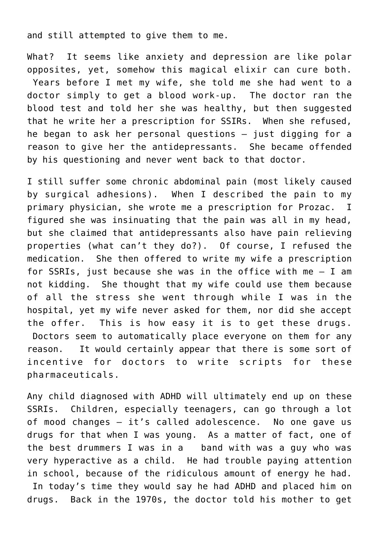and still attempted to give them to me.

What? It seems like anxiety and depression are like polar opposites, yet, somehow this magical elixir can cure both. Years before I met my wife, she told me she had went to a doctor simply to get a blood work-up. The doctor ran the blood test and told her she was healthy, but then suggested that he write her a prescription for SSIRs. When she refused, he began to ask her personal questions – just digging for a reason to give her the antidepressants. She became offended by his questioning and never went back to that doctor.

I still suffer some chronic abdominal pain (most likely caused by surgical adhesions). When I described the pain to my primary physician, she wrote me a prescription for Prozac. I figured she was insinuating that the pain was all in my head, but she claimed that antidepressants also have pain relieving properties (what can't they do?). Of course, I refused the medication. She then offered to write my wife a prescription for SSRIs, just because she was in the office with me  $-$  I am not kidding. She thought that my wife could use them because of all the stress she went through while I was in the hospital, yet my wife never asked for them, nor did she accept the offer. This is how easy it is to get these drugs. Doctors seem to automatically place everyone on them for any reason. It would certainly appear that there is some sort of incentive for doctors to write scripts for these pharmaceuticals.

Any child diagnosed with ADHD will ultimately end up on these SSRIs. Children, especially teenagers, can go through a lot of mood changes – it's called adolescence. No one gave us drugs for that when I was young. As a matter of fact, one of the best drummers I was in a band with was a guy who was very hyperactive as a child. He had trouble paying attention in school, because of the ridiculous amount of energy he had. In today's time they would say he had ADHD and placed him on drugs. Back in the 1970s, the doctor told his mother to get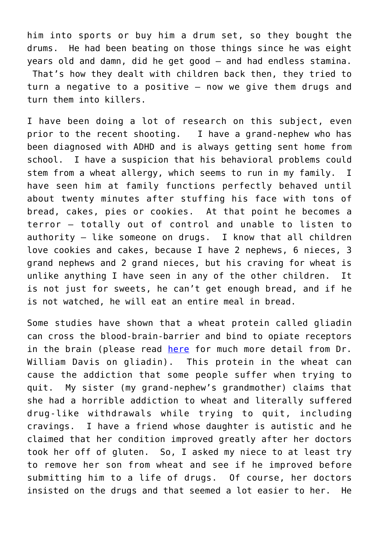him into sports or buy him a drum set, so they bought the drums. He had been beating on those things since he was eight years old and damn, did he get good – and had endless stamina. That's how they dealt with children back then, they tried to turn a negative to a positive – now we give them drugs and turn them into killers.

I have been doing a lot of research on this subject, even prior to the recent shooting. I have a grand-nephew who has been diagnosed with ADHD and is always getting sent home from school. I have a suspicion that his behavioral problems could stem from a wheat allergy, which seems to run in my family. I have seen him at family functions perfectly behaved until about twenty minutes after stuffing his face with tons of bread, cakes, pies or cookies. At that point he becomes a terror – totally out of control and unable to listen to authority – like someone on drugs. I know that all children love cookies and cakes, because I have 2 nephews, 6 nieces, 3 grand nephews and 2 grand nieces, but his craving for wheat is unlike anything I have seen in any of the other children. It is not just for sweets, he can't get enough bread, and if he is not watched, he will eat an entire meal in bread.

Some studies have shown that a wheat protein called gliadin can cross the blood-brain-barrier and bind to opiate receptors in the brain (please read [here](http://www.wheatbellyblog.com/2012/01/the-gliadin-effect/) for much more detail from Dr. William Davis on gliadin). This protein in the wheat can cause the addiction that some people suffer when trying to quit. My sister (my grand-nephew's grandmother) claims that she had a horrible addiction to wheat and literally suffered drug-like withdrawals while trying to quit, including cravings. I have a friend whose daughter is autistic and he claimed that her condition improved greatly after her doctors took her off of gluten. So, I asked my niece to at least try to remove her son from wheat and see if he improved before submitting him to a life of drugs. Of course, her doctors insisted on the drugs and that seemed a lot easier to her. He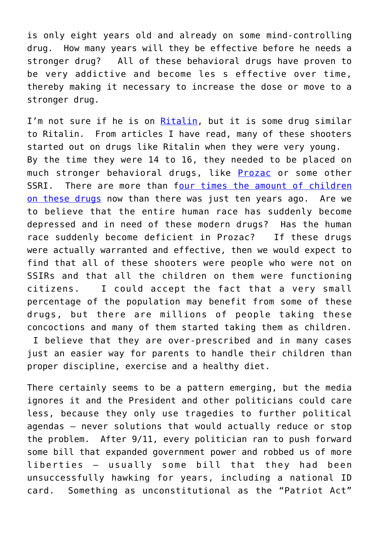is only eight years old and already on some mind-controlling drug. How many years will they be effective before he needs a stronger drug? All of these behavioral drugs have proven to be very addictive and become les s effective over time, thereby making it necessary to increase the dose or move to a stronger drug.

I'm not sure if he is on [Ritalin](http://en.wikipedia.org/wiki/Methylphenidate), but it is some drug similar to Ritalin. From articles I have read, many of these shooters started out on drugs like Ritalin when they were very young. By the time they were 14 to 16, they needed to be placed on much stronger behavioral drugs, like [Prozac](http://en.wikipedia.org/wiki/Fluoxetine) or some other SSRI. There are more than f[our times the amount of children](http://www.guardian.co.uk/society/2007/jul/23/childrensservices.medicineandhealth) [on these drugs](http://www.guardian.co.uk/society/2007/jul/23/childrensservices.medicineandhealth) now than there was just ten years ago. Are we to believe that the entire human race has suddenly become depressed and in need of these modern drugs? Has the human race suddenly become deficient in Prozac? If these drugs were actually warranted and effective, then we would expect to find that all of these shooters were people who were not on SSIRs and that all the children on them were functioning citizens. I could accept the fact that a very small percentage of the population may benefit from some of these drugs, but there are millions of people taking these concoctions and many of them started taking them as children. I believe that they are over-prescribed and in many cases just an easier way for parents to handle their children than proper discipline, exercise and a healthy diet.

There certainly seems to be a pattern emerging, but the media ignores it and the President and other politicians could care less, because they only use tragedies to further political agendas – never solutions that would actually reduce or stop the problem. After 9/11, every politician ran to push forward some bill that expanded government power and robbed us of more liberties – usually some bill that they had been unsuccessfully hawking for years, including a national ID card. Something as unconstitutional as the "Patriot Act"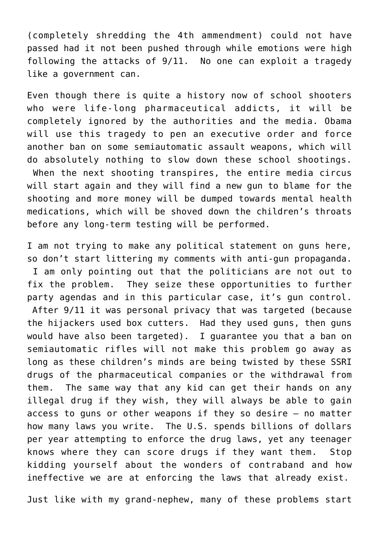(completely shredding the 4th ammendment) could not have passed had it not been pushed through while emotions were high following the attacks of 9/11. No one can exploit a tragedy like a government can.

Even though there is quite a history now of school shooters who were life-long pharmaceutical addicts, it will be completely ignored by the authorities and the media. Obama will use this tragedy to pen an executive order and force another ban on some semiautomatic assault weapons, which will do absolutely nothing to slow down these school shootings. When the next shooting transpires, the entire media circus will start again and they will find a new gun to blame for the shooting and more money will be dumped towards mental health medications, which will be shoved down the children's throats before any long-term testing will be performed.

I am not trying to make any political statement on guns here, so don't start littering my comments with anti-gun propaganda. I am only pointing out that the politicians are not out to fix the problem. They seize these opportunities to further party agendas and in this particular case, it's gun control. After 9/11 it was personal privacy that was targeted (because the hijackers used box cutters. Had they used guns, then guns would have also been targeted). I guarantee you that a ban on semiautomatic rifles will not make this problem go away as long as these children's minds are being twisted by these SSRI drugs of the pharmaceutical companies or the withdrawal from them. The same way that any kid can get their hands on any illegal drug if they wish, they will always be able to gain access to guns or other weapons if they so desire – no matter how many laws you write. The U.S. spends billions of dollars per year attempting to enforce the drug laws, yet any teenager knows where they can score drugs if they want them. Stop kidding yourself about the wonders of contraband and how ineffective we are at enforcing the laws that already exist.

Just like with my grand-nephew, many of these problems start